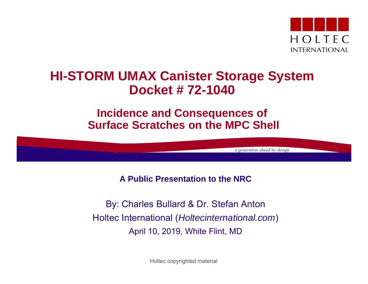

### **HI-STORM UMAX Canister Storage System Docket # 72-1040**

#### **Incidence and Consequences of Surface Scratches on the MPC Shell**

a generation ahead by design

**A Public Presentation to the NRC**

By: Charles Bullard & Dr. Stefan Anton Holtec International (*Holtecinternational.com*) April 10, 2019, White Flint, MD

Holtec copyrighted material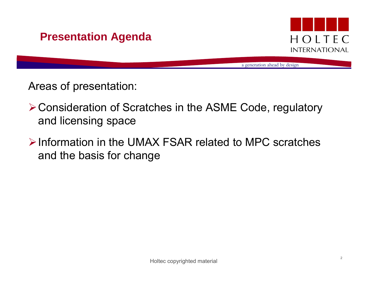



a generation ahead by design

Areas of presentation:

- Consideration of Scratches in the ASME Code, regulatory and licensing space
- $\triangleright$  Information in the UMAX FSAR related to MPC scratches and the basis for change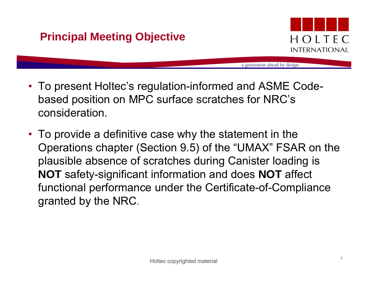

- To present Holtec's regulation-informed and ASME Codebased position on MPC surface scratches for NRC's consideration.
- To provide a definitive case why the statement in the Operations chapter (Section 9.5) of the "UMAX" FSAR on the plausible absence of scratches during Canister loading is **NOT** safety-significant information and does **NOT** affect functional performance under the Certificate-of-Compliance granted by the NRC.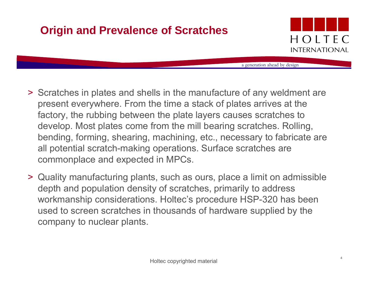# **Origin and Prevalence of Scratches**



- > Scratches in plates and shells in the manufacture of any weldment are present everywhere. From the time a stack of plates arrives at the factory, the rubbing between the plate layers causes scratches to develop. Most plates come from the mill bearing scratches. Rolling, bending, forming, shearing, machining, etc., necessary to fabricate are all potential scratch-making operations. Surface scratches are commonplace and expected in MPCs.
- > Quality manufacturing plants, such as ours, place a limit on admissible depth and population density of scratches, primarily to address workmanship considerations. Holtec's procedure HSP-320 has been used to screen scratches in thousands of hardware supplied by the company to nuclear plants.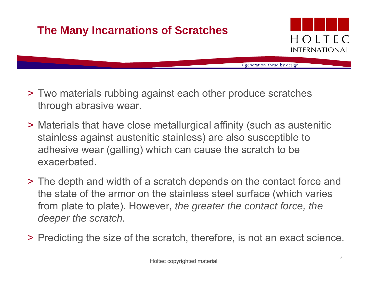# **The Many Incarnations of Scratches**



- > Two materials rubbing against each other produce scratches through abrasive wear.
- > Materials that have close metallurgical affinity (such as austenitic stainless against austenitic stainless) are also susceptible to adhesive wear (galling) which can cause the scratch to be exacerbated.
- > The depth and width of a scratch depends on the contact force and the state of the armor on the stainless steel surface (which varies from plate to plate). However, *the greater the contact force, the deeper the scratch.*
- > Predicting the size of the scratch, therefore, is not an exact science.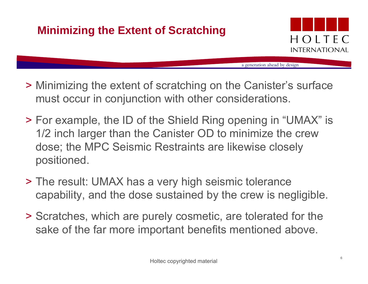# **Minimizing the Extent of Scratching**



- > Minimizing the extent of scratching on the Canister's surface must occur in conjunction with other considerations.
- > For example, the ID of the Shield Ring opening in "UMAX" is 1/2 inch larger than the Canister OD to minimize the crew dose; the MPC Seismic Restraints are likewise closely positioned.
- > The result: UMAX has a very high seismic tolerance capability, and the dose sustained by the crew is negligible.
- > Scratches, which are purely cosmetic, are tolerated for the sake of the far more important benefits mentioned above.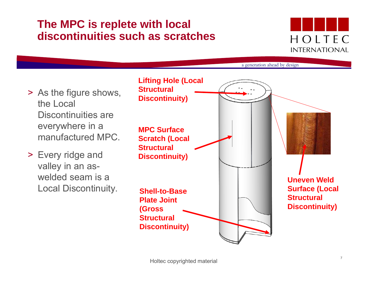### **The MPC is replete with local discontinuities such as scratches**

# HOLTEC **INTERNATIONAL**

- > As the figure shows, the Local Discontinuities are everywhere in a manufactured MPC.
- > Every ridge and valley in an aswelded seam is a Local Discontinuity.

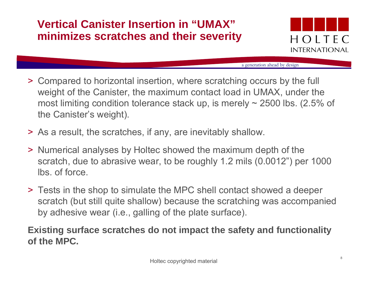### **Vertical Canister Insertion in "UMAX" minimizes scratches and their severity**



a generation ahead by design

- > Compared to horizontal insertion, where scratching occurs by the full weight of the Canister, the maximum contact load in UMAX, under the most limiting condition tolerance stack up, is merely  $\sim$  2500 lbs. (2.5% of the Canister's weight).
- > As a result, the scratches, if any, are inevitably shallow.
- > Numerical analyses by Holtec showed the maximum depth of the scratch, due to abrasive wear, to be roughly 1.2 mils (0.0012") per 1000 lbs. of force.
- > Tests in the shop to simulate the MPC shell contact showed a deeper scratch (but still quite shallow) because the scratching was accompanied by adhesive wear (i.e., galling of the plate surface).

#### **Existing surface scratches do not impact the safety and functionality of the MPC.**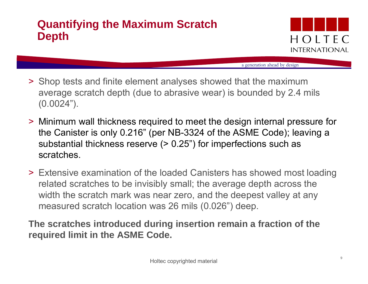### **Quantifying the Maximum Scratch Depth**



a generation ahead by design

- > Shop tests and finite element analyses showed that the maximum average scratch depth (due to abrasive wear) is bounded by 2.4 mils (0.0024").
- > Minimum wall thickness required to meet the design internal pressure for the Canister is only 0.216" (per NB-3324 of the ASME Code); leaving a substantial thickness reserve ( $> 0.25$ ") for imperfections such as scratches.
- > Extensive examination of the loaded Canisters has showed most loading related scratches to be invisibly small; the average depth across the width the scratch mark was near zero, and the deepest valley at any measured scratch location was 26 mils (0.026") deep.

**The scratches introduced during insertion remain a fraction of the required limit in the ASME Code.**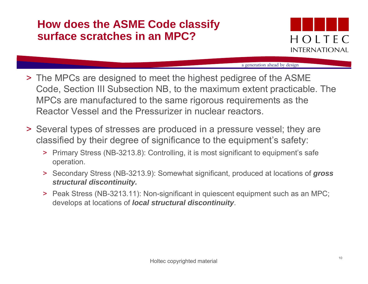### **How does the ASME Code classify surface scratches in an MPC?**



- ˃ The MPCs are designed to meet the highest pedigree of the ASME Code, Section III Subsection NB, to the maximum extent practicable. The MPCs are manufactured to the same rigorous requirements as the Reactor Vessel and the Pressurizer in nuclear reactors.
- ˃ Several types of stresses are produced in a pressure vessel; they are classified by their degree of significance to the equipment's safety:
	- > Primary Stress (NB-3213.8): Controlling, it is most significant to equipment's safe operation.
	- > Secondary Stress (NB-3213.9): Somewhat significant, produced at locations of *gross structural discontinuity.*
	- > Peak Stress (NB-3213.11): Non-significant in quiescent equipment such as an MPC; develops at locations of *local structural discontinuity*.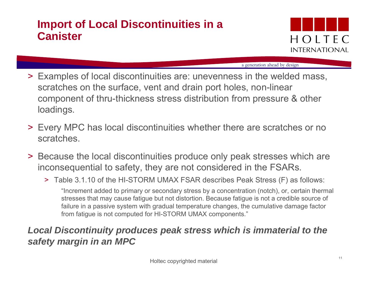### **Import of Local Discontinuities in a Canister**



a generation ahead by design

- > Examples of local discontinuities are: unevenness in the welded mass, scratches on the surface, vent and drain port holes, non-linear component of thru-thickness stress distribution from pressure & other loadings.
- > Every MPC has local discontinuities whether there are scratches or no scratches.
- > Because the local discontinuities produce only peak stresses which are inconsequential to safety, they are not considered in the FSARs.
	- > Table 3.1.10 of the HI-STORM UMAX FSAR describes Peak Stress (F) as follows: "Increment added to primary or secondary stress by a concentration (notch), or, certain thermal stresses that may cause fatigue but not distortion. Because fatigue is not a credible source of failure in a passive system with gradual temperature changes, the cumulative damage factor from fatigue is not computed for HI-STORM UMAX components."

#### *Local Discontinuity produces peak stress which is immaterial to the safety margin in an MPC*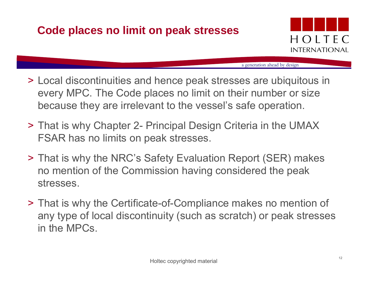### **Code places no limit on peak stresses**



- > Local discontinuities and hence peak stresses are ubiquitous in every MPC. The Code places no limit on their number or size because they are irrelevant to the vessel's safe operation.
- > That is why Chapter 2- Principal Design Criteria in the UMAX FSAR has no limits on peak stresses.
- > That is why the NRC's Safety Evaluation Report (SER) makes no mention of the Commission having considered the peak stresses.
- > That is why the Certificate-of-Compliance makes no mention of any type of local discontinuity (such as scratch) or peak stresses in the MPCs.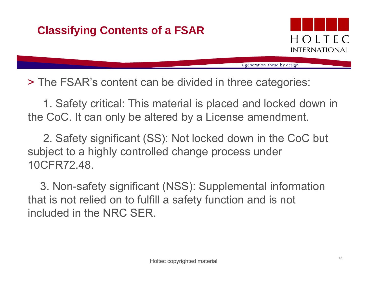# **Classifying Contents of a FSAR**



a generation ahead by design

> The FSAR's content can be divided in three categories:

1. Safety critical: This material is placed and locked down in the CoC. It can only be altered by a License amendment.

2. Safety significant (SS): Not locked down in the CoC but subject to a highly controlled change process under 10CFR72.48.

3. Non-safety significant (NSS): Supplemental information that is not relied on to fulfill a safety function and is not included in the NRC SER.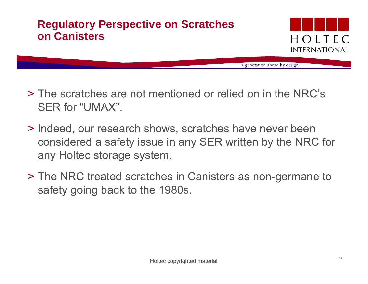### **Regulatory Perspective on Scratches on Canisters**



- > The scratches are not mentioned or relied on in the NRC's SER for "UMAX".
- > Indeed, our research shows, scratches have never been considered a safety issue in any SER written by the NRC for any Holtec storage system.
- > The NRC treated scratches in Canisters as non-germane to safety going back to the 1980s.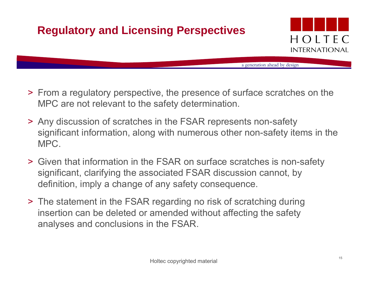# **Regulatory and Licensing Perspectives**



- > From a regulatory perspective, the presence of surface scratches on the MPC are not relevant to the safety determination.
- > Any discussion of scratches in the FSAR represents non-safety significant information, along with numerous other non-safety items in the MPC.
- > Given that information in the FSAR on surface scratches is non-safety significant, clarifying the associated FSAR discussion cannot, by definition, imply a change of any safety consequence.
- > The statement in the FSAR regarding no risk of scratching during insertion can be deleted or amended without affecting the safety analyses and conclusions in the FSAR.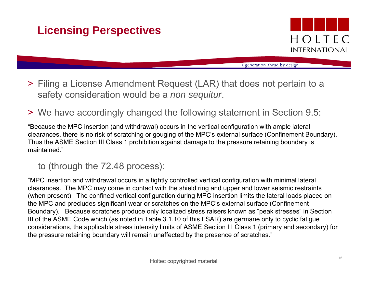# **Licensing Perspectives**



a generation ahead by design

- > Filing a License Amendment Request (LAR) that does not pertain to a safety consideration would be a *non sequitur*.
- > We have accordingly changed the following statement in Section 9.5:

"Because the MPC insertion (and withdrawal) occurs in the vertical configuration with ample lateral clearances, there is no risk of scratching or gouging of the MPC's external surface (Confinement Boundary). Thus the ASME Section III Class 1 prohibition against damage to the pressure retaining boundary is maintained."

#### to (through the 72.48 process):

"MPC insertion and withdrawal occurs in a tightly controlled vertical configuration with minimal lateral clearances. The MPC may come in contact with the shield ring and upper and lower seismic restraints (when present). The confined vertical configuration during MPC insertion limits the lateral loads placed on the MPC and precludes significant wear or scratches on the MPC's external surface (Confinement Boundary). Because scratches produce only localized stress raisers known as "peak stresses" in Section III of the ASME Code which (as noted in Table 3.1.10 of this FSAR) are germane only to cyclic fatigue considerations, the applicable stress intensity limits of ASME Section III Class 1 (primary and secondary) for the pressure retaining boundary will remain unaffected by the presence of scratches."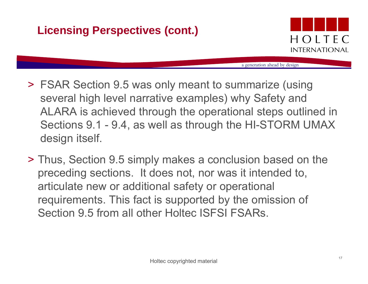# **Licensing Perspectives (cont.)**



- > FSAR Section 9.5 was only meant to summarize (using several high level narrative examples) why Safety and ALARA is achieved through the operational steps outlined in Sections 9.1 - 9.4, as well as through the HI-STORM UMAX design itself.
- > Thus, Section 9.5 simply makes a conclusion based on the preceding sections. It does not, nor was it intended to, articulate new or additional safety or operational requirements. This fact is supported by the omission of Section 9.5 from all other Holtec ISFSI FSARs.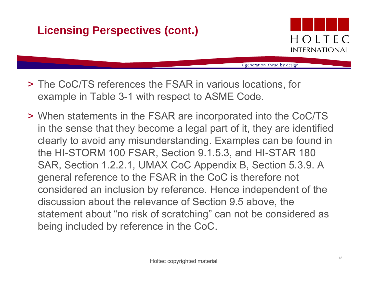# **Licensing Perspectives (cont.)**



- > The CoC/TS references the FSAR in various locations, for example in Table 3-1 with respect to ASME Code.
- > When statements in the FSAR are incorporated into the CoC/TS in the sense that they become a legal part of it, they are identified clearly to avoid any misunderstanding. Examples can be found in the HI-STORM 100 FSAR, Section 9.1.5.3, and HI-STAR 180 SAR, Section 1.2.2.1, UMAX CoC Appendix B, Section 5.3.9. A general reference to the FSAR in the CoC is therefore not considered an inclusion by reference. Hence independent of the discussion about the relevance of Section 9.5 above, the statement about "no risk of scratching" can not be considered as being included by reference in the CoC.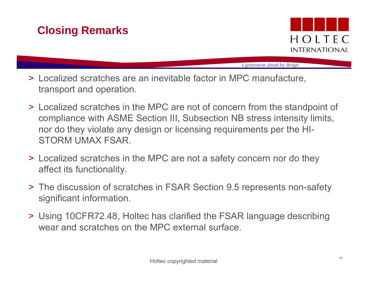### **Closing Remarks**



- > Localized scratches are an inevitable factor in MPC manufacture, transport and operation.
- > Localized scratches in the MPC are not of concern from the standpoint of compliance with ASME Section III, Subsection NB stress intensity limits, nor do they violate any design or licensing requirements per the HI-STORM UMAX FSAR.
- > Localized scratches in the MPC are not a safety concern nor do they affect its functionality.
- > The discussion of scratches in FSAR Section 9.5 represents non-safety significant information.
- > Using 10CFR72.48, Holtec has clarified the FSAR language describing wear and scratches on the MPC external surface.